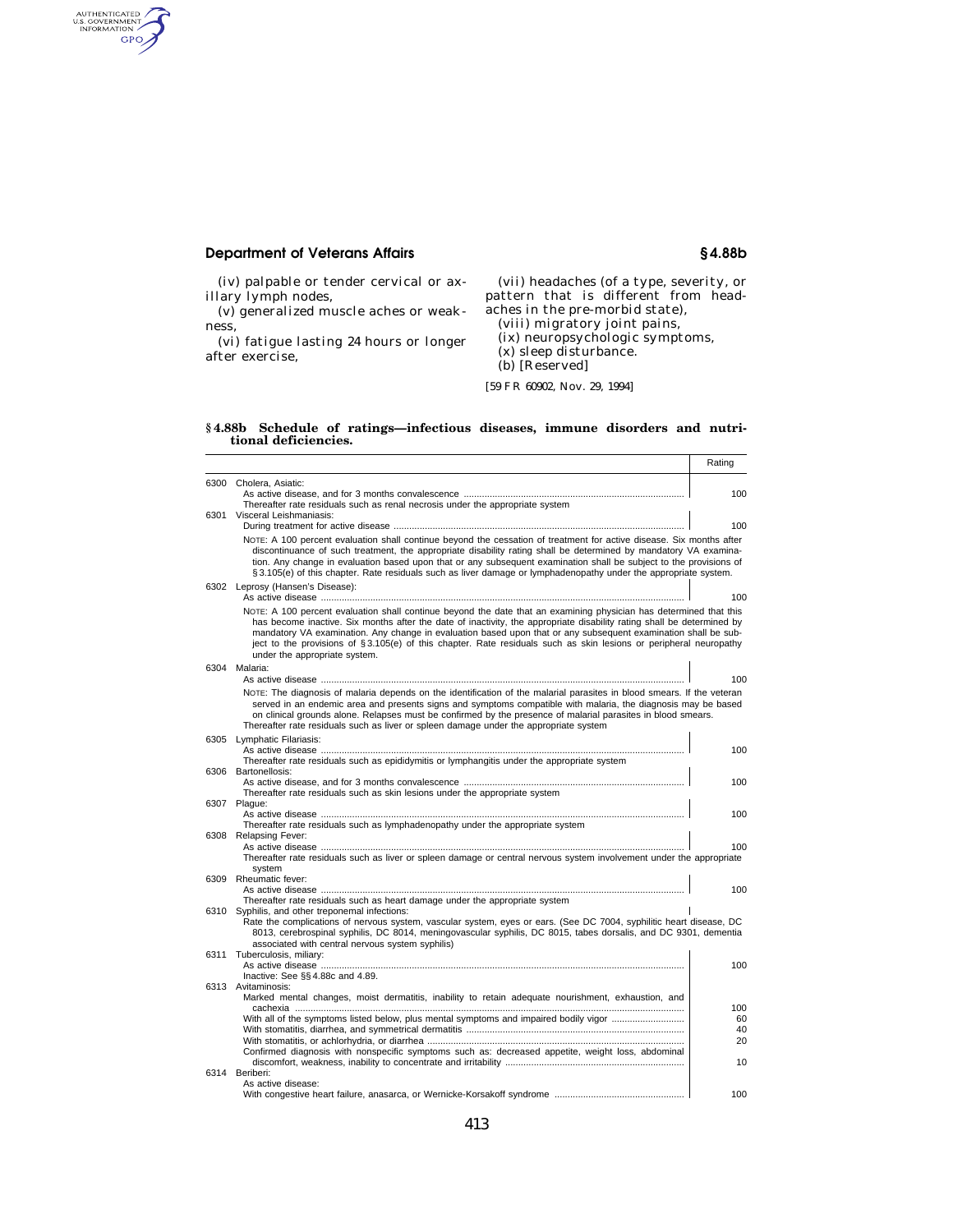## **Department of Veterans Affairs § 4.88b**

authenticated<br>u.s. government<br>information<br>GPO

(iv) palpable or tender cervical or axillary lymph nodes,

(v) generalized muscle aches or weakness,

(vi) fatigue lasting 24 hours or longer after exercise,

(vii) headaches (of a type, severity, or pattern that is different from headaches in the pre-morbid state), (viii) migratory joint pains, (ix) neuropsychologic symptoms,

(x) sleep disturbance.

(b) [Reserved]

[59 FR 60902, Nov. 29, 1994]

## **§ 4.88b Schedule of ratings—infectious diseases, immune disorders and nutritional deficiencies.**

|      |                                                                                                                                                                                                                                                                                                                                                                                                                                                                                                                      | Rating    |
|------|----------------------------------------------------------------------------------------------------------------------------------------------------------------------------------------------------------------------------------------------------------------------------------------------------------------------------------------------------------------------------------------------------------------------------------------------------------------------------------------------------------------------|-----------|
|      | 6300 Cholera, Asiatic:                                                                                                                                                                                                                                                                                                                                                                                                                                                                                               |           |
|      |                                                                                                                                                                                                                                                                                                                                                                                                                                                                                                                      | 100       |
|      | Thereafter rate residuals such as renal necrosis under the appropriate system<br>6301 Visceral Leishmaniasis:                                                                                                                                                                                                                                                                                                                                                                                                        |           |
|      |                                                                                                                                                                                                                                                                                                                                                                                                                                                                                                                      | 100       |
|      | NOTE: A 100 percent evaluation shall continue beyond the cessation of treatment for active disease. Six months after<br>discontinuance of such treatment, the appropriate disability rating shall be determined by mandatory VA examina-<br>tion. Any change in evaluation based upon that or any subsequent examination shall be subject to the provisions of<br>§ 3.105(e) of this chapter. Rate residuals such as liver damage or lymphadenopathy under the appropriate system.                                   |           |
| 6302 | Leprosy (Hansen's Disease):                                                                                                                                                                                                                                                                                                                                                                                                                                                                                          | 100       |
|      | NOTE: A 100 percent evaluation shall continue beyond the date that an examining physician has determined that this<br>has become inactive. Six months after the date of inactivity, the appropriate disability rating shall be determined by<br>mandatory VA examination. Any change in evaluation based upon that or any subsequent examination shall be sub-<br>ject to the provisions of §3.105(e) of this chapter. Rate residuals such as skin lesions or peripheral neuropathy<br>under the appropriate system. |           |
|      | 6304 Malaria:                                                                                                                                                                                                                                                                                                                                                                                                                                                                                                        | 100       |
|      | NOTE: The diagnosis of malaria depends on the identification of the malarial parasites in blood smears. If the veteran                                                                                                                                                                                                                                                                                                                                                                                               |           |
|      | served in an endemic area and presents signs and symptoms compatible with malaria, the diagnosis may be based<br>on clinical grounds alone. Relapses must be confirmed by the presence of malarial parasites in blood smears.<br>Thereafter rate residuals such as liver or spleen damage under the appropriate system                                                                                                                                                                                               |           |
| 6305 | Lymphatic Filariasis:                                                                                                                                                                                                                                                                                                                                                                                                                                                                                                |           |
|      | Thereafter rate residuals such as epididymitis or lymphangitis under the appropriate system                                                                                                                                                                                                                                                                                                                                                                                                                          | 100       |
|      | 6306 Bartonellosis:                                                                                                                                                                                                                                                                                                                                                                                                                                                                                                  |           |
|      | Thereafter rate residuals such as skin lesions under the appropriate system                                                                                                                                                                                                                                                                                                                                                                                                                                          | 100       |
|      | 6307 Plague:                                                                                                                                                                                                                                                                                                                                                                                                                                                                                                         |           |
|      |                                                                                                                                                                                                                                                                                                                                                                                                                                                                                                                      | 100       |
|      | Thereafter rate residuals such as lymphadenopathy under the appropriate system<br>Relapsing Fever:                                                                                                                                                                                                                                                                                                                                                                                                                   |           |
| 6308 |                                                                                                                                                                                                                                                                                                                                                                                                                                                                                                                      | 100       |
|      | Thereafter rate residuals such as liver or spleen damage or central nervous system involvement under the appropriate                                                                                                                                                                                                                                                                                                                                                                                                 |           |
| 6309 | system<br>Rheumatic fever:                                                                                                                                                                                                                                                                                                                                                                                                                                                                                           |           |
|      |                                                                                                                                                                                                                                                                                                                                                                                                                                                                                                                      | 100       |
|      | Thereafter rate residuals such as heart damage under the appropriate system                                                                                                                                                                                                                                                                                                                                                                                                                                          |           |
|      | 6310 Syphilis, and other treponemal infections:<br>Rate the complications of nervous system, vascular system, eyes or ears. (See DC 7004, syphilitic heart disease, DC                                                                                                                                                                                                                                                                                                                                               |           |
|      | 8013, cerebrospinal syphilis, DC 8014, meningovascular syphilis, DC 8015, tabes dorsalis, and DC 9301, dementia                                                                                                                                                                                                                                                                                                                                                                                                      |           |
|      | associated with central nervous system syphilis)                                                                                                                                                                                                                                                                                                                                                                                                                                                                     |           |
|      | 6311 Tuberculosis, miliarv:                                                                                                                                                                                                                                                                                                                                                                                                                                                                                          |           |
|      | Inactive: See §§4.88c and 4.89.                                                                                                                                                                                                                                                                                                                                                                                                                                                                                      | 100       |
|      | 6313 Avitaminosis:                                                                                                                                                                                                                                                                                                                                                                                                                                                                                                   |           |
|      | Marked mental changes, moist dermatitis, inability to retain adequate nourishment, exhaustion, and                                                                                                                                                                                                                                                                                                                                                                                                                   |           |
|      | With all of the symptoms listed below, plus mental symptoms and impaired bodily vigor                                                                                                                                                                                                                                                                                                                                                                                                                                | 100<br>60 |
|      |                                                                                                                                                                                                                                                                                                                                                                                                                                                                                                                      | 40        |
|      |                                                                                                                                                                                                                                                                                                                                                                                                                                                                                                                      | 20        |
|      | Confirmed diagnosis with nonspecific symptoms such as: decreased appetite, weight loss, abdominal                                                                                                                                                                                                                                                                                                                                                                                                                    | 10        |
|      | 6314 Beriberi:                                                                                                                                                                                                                                                                                                                                                                                                                                                                                                       |           |
|      | As active disease:                                                                                                                                                                                                                                                                                                                                                                                                                                                                                                   |           |
|      |                                                                                                                                                                                                                                                                                                                                                                                                                                                                                                                      | 100       |